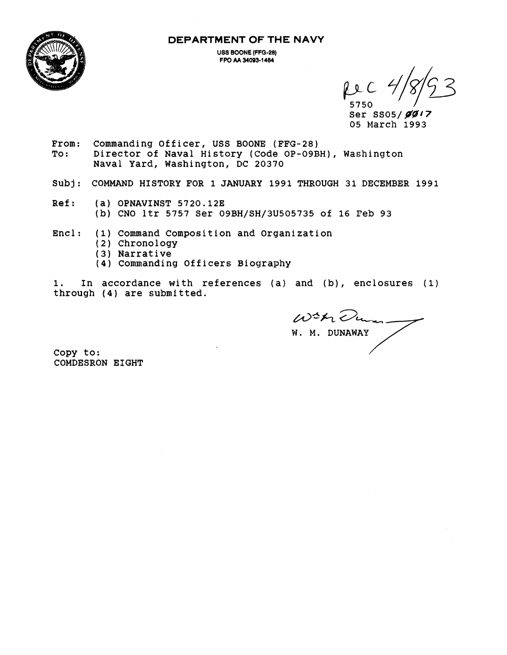**DEPARTMENT OF THE NAVY** 



**USS BOONE (FFG-28) FPO M 34003-1484** 

5750<br>Ser SSO5/*ØØ17* **05 March 1993** 

- **From: Commanding Officer, USS BOONE (FFG-28) To** : **Director of Naval History (Code OP-OSBH), Washington Naval Yard, Washington, DC 20370**
- **Subj: COMMAND HISTORY FOR 1 JANUARY 1991 THROUGH 31 DECEMBER 1991**
- **Ref: (a) OPNAVINST 5720.123 (b) CNO ltr 5757 Ser 09BH/SH/3U505735 of 16 Peb 93**
- **Encl: (1) Command Composition and Organization** 
	- **(2) Chronology**
	- **(3) Narrative**
	- **(4) Commanding Officers Biography**

**1. In accordance with references (a) and (b), enclosures (1) through (4) are submitted.** 

**W. M. DUNAWAY**  With Dum.

**copy to: COMDESRON EIGHT**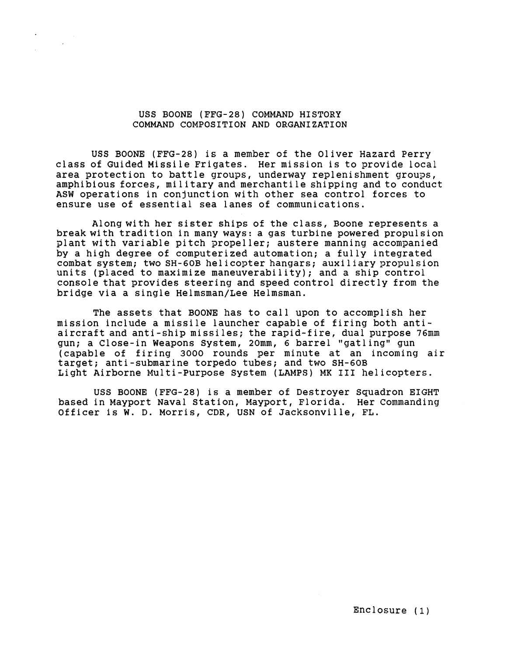## USS BOONE (FFG-28) COMMAND HISTORY COMMAND COMPOSITION AND ORGANIZATION

USS BOONE (FFG-28) is a member of the Oliver Hazard Perry class of Guided Missile Frigates. Her mission is to provide local area protection to battle groups, underway replenishment groups, amphibious forces, military and merchantile shipping and to conduct ASW operations in conjunction with other sea control forces to ensure use of essential sea lanes of communications.

Along with her sister ships of the class, Boone represents a break with tradition in many ways: a gas turbine powered propulsion plant with variable pitch propeller; austere manning accompanied by a high degree of computerized automation; a fully integrated combat system; two SH-GOB helicopter hangars; auxiliary propulsion units (placed to maximize maneuverability); and a ship control console that provides steering and speed control directly from the bridge via a single Helmsman/Lee Helmsman.

The assets that BOONE has to call upon to accomplish her mission include a missile launcher capable of firing both antiaircraft and anti-ship missiles; the rapid-fire, dual purpose 76mm gun; a Close-in Weapons System, 20mm, 6 barrel "gatling" gun (capable of firing 3000 rounds per minute at an incoming air target; anti-submarine torpedo tubes; and two SH-60B Light Airborne Multi-Purpose System (LAMPS) MK **I11** helicopters.

USS BOONE (FFG-28) is a member of Destroyer Squadron EIGHT based in Mayport Naval Station, Mayport, Florida. Her Commanding Officer is W. D. Morris, CDR, USN of Jacksonville, FL.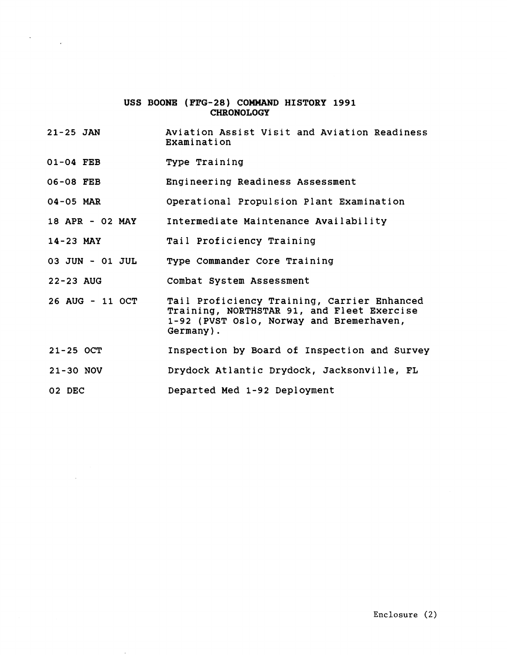## USS BOONE (FFG-28) COMMAND HISTORY 1991 **CHRONOLOGY**

- **21-25 JAN**  Aviation Assist Visit and Aviation Readiness Examination
- 01-04 FEB Type Training
- **06-08** FEB Engineering Readiness Assessment
- **04-05** MAR Operational Propulsion Plant Examination
- **18** APR **02** MAY Intermediate Maintenance Availability
- **14-23 MAY** Tail Proficiency Training
- 03 JUN 01 JUL Type Commander Core Training
- **22-23** AUG Combat System Assessment
- 26 AUG **11** OCT Tail Proficiency Training, Carrier Enhanced Training, NORTHSTAR 91, and Fleet Exercise **1-92** (PVST Oslo, Norway and Bremerhaven, Germany) .
- **21-25** OCT Inspection by Board of Inspection and Survey
- **21-30** NOV Drydock Atlantic Drydock, Jacksonville, FL
- **02** DEC Departed Med **1-92** Deployment